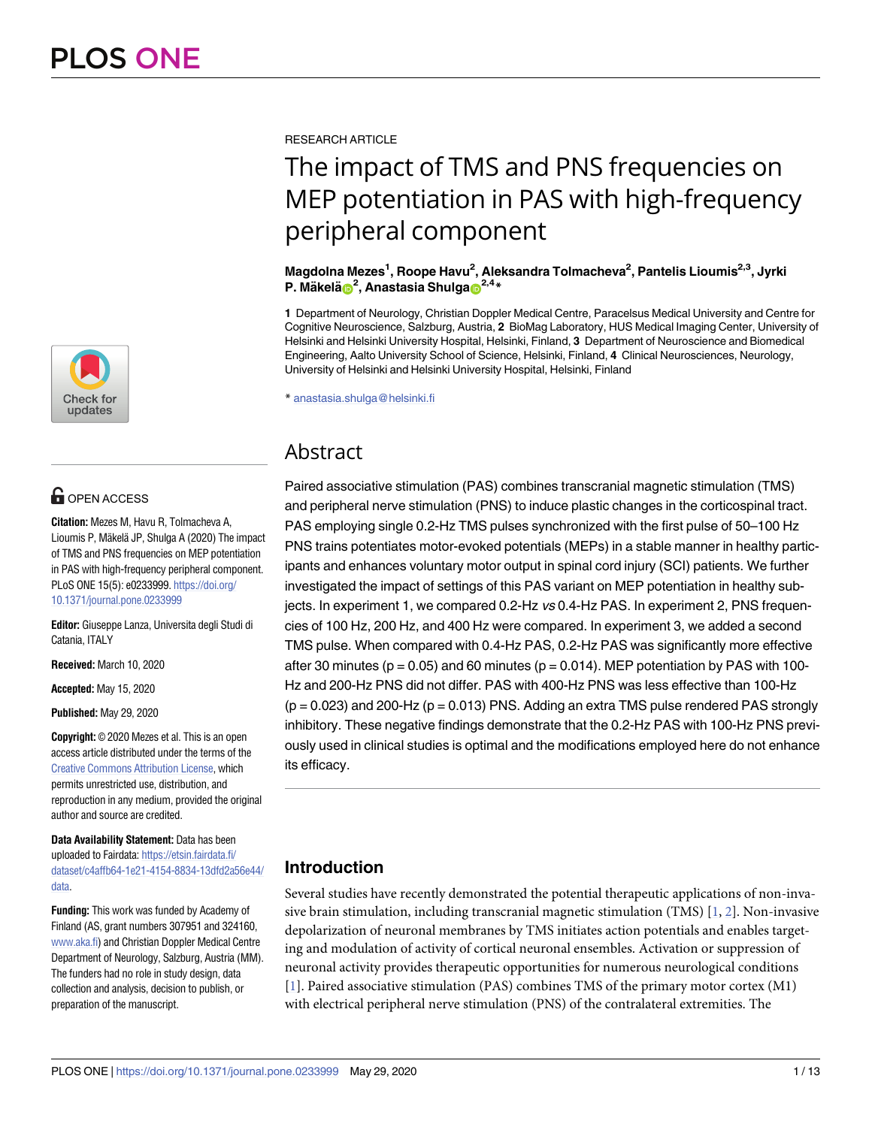

# **OPEN ACCESS**

**Citation:** Mezes M, Havu R, Tolmacheva A, Lioumis P, Mäkelä JP, Shulga A (2020) The impact of TMS and PNS frequencies on MEP potentiation in PAS with high-frequency peripheral component. PLoS ONE 15(5): e0233999. [https://doi.org/](https://doi.org/10.1371/journal.pone.0233999) [10.1371/journal.pone.0233999](https://doi.org/10.1371/journal.pone.0233999)

**Editor:** Giuseppe Lanza, Universita degli Studi di Catania, ITALY

**Received:** March 10, 2020

**Accepted:** May 15, 2020

**Published:** May 29, 2020

**Copyright:** © 2020 Mezes et al. This is an open access article distributed under the terms of the Creative Commons [Attribution](http://creativecommons.org/licenses/by/4.0/) License, which permits unrestricted use, distribution, and reproduction in any medium, provided the original author and source are credited.

**Data Availability Statement:** Data has been uploaded to Fairdata: [https://etsin.fairdata.fi/](https://etsin.fairdata.fi/dataset/c4affb64-1e21-4154-8834-13dfd2a56e44/data) [dataset/c4affb64-1e21-4154-8834-13dfd2a56e44/](https://etsin.fairdata.fi/dataset/c4affb64-1e21-4154-8834-13dfd2a56e44/data) [data.](https://etsin.fairdata.fi/dataset/c4affb64-1e21-4154-8834-13dfd2a56e44/data)

**Funding:** This work was funded by Academy of Finland (AS, grant numbers 307951 and 324160, [www.aka.fi\)](http://www.aka.fi) and Christian Doppler Medical Centre Department of Neurology, Salzburg, Austria (MM). The funders had no role in study design, data collection and analysis, decision to publish, or preparation of the manuscript.

<span id="page-0-0"></span>RESEARCH ARTICLE

# The impact of TMS and PNS frequencies on MEP potentiation in PAS with high-frequency peripheral component

**Magdolna Mezes1 , Roope Havu2 , Aleksandra Tolmacheva2 , Pantelis Lioumis2,3, Jyrki P.** Mäkelä $\mathbf{D}^2$ , Anastasia Shulga $\mathbf{D}^{2,4,*}$ 

**1** Department of Neurology, Christian Doppler Medical Centre, Paracelsus Medical University and Centre for Cognitive Neuroscience, Salzburg, Austria, **2** BioMag Laboratory, HUS Medical Imaging Center, University of Helsinki and Helsinki University Hospital, Helsinki, Finland, **3** Department of Neuroscience and Biomedical Engineering, Aalto University School of Science, Helsinki, Finland, **4** Clinical Neurosciences, Neurology, University of Helsinki and Helsinki University Hospital, Helsinki, Finland

\* anastasia.shulga@helsinki.fi

# Abstract

Paired associative stimulation (PAS) combines transcranial magnetic stimulation (TMS) and peripheral nerve stimulation (PNS) to induce plastic changes in the corticospinal tract. PAS employing single 0.2-Hz TMS pulses synchronized with the first pulse of 50–100 Hz PNS trains potentiates motor-evoked potentials (MEPs) in a stable manner in healthy participants and enhances voluntary motor output in spinal cord injury (SCI) patients. We further investigated the impact of settings of this PAS variant on MEP potentiation in healthy subjects. In experiment 1, we compared 0.2-Hz vs 0.4-Hz PAS. In experiment 2, PNS frequencies of 100 Hz, 200 Hz, and 400 Hz were compared. In experiment 3, we added a second TMS pulse. When compared with 0.4-Hz PAS, 0.2-Hz PAS was significantly more effective after 30 minutes ( $p = 0.05$ ) and 60 minutes ( $p = 0.014$ ). MEP potentiation by PAS with 100-Hz and 200-Hz PNS did not differ. PAS with 400-Hz PNS was less effective than 100-Hz  $(p = 0.023)$  and 200-Hz  $(p = 0.013)$  PNS. Adding an extra TMS pulse rendered PAS strongly inhibitory. These negative findings demonstrate that the 0.2-Hz PAS with 100-Hz PNS previously used in clinical studies is optimal and the modifications employed here do not enhance its efficacy.

# **Introduction**

Several studies have recently demonstrated the potential therapeutic applications of non-invasive brain stimulation, including transcranial magnetic stimulation (TMS) [\[1,](#page-10-0) [2](#page-10-0)]. Non-invasive depolarization of neuronal membranes by TMS initiates action potentials and enables targeting and modulation of activity of cortical neuronal ensembles. Activation or suppression of neuronal activity provides therapeutic opportunities for numerous neurological conditions [\[1](#page-10-0)]. Paired associative stimulation (PAS) combines TMS of the primary motor cortex (M1) with electrical peripheral nerve stimulation (PNS) of the contralateral extremities. The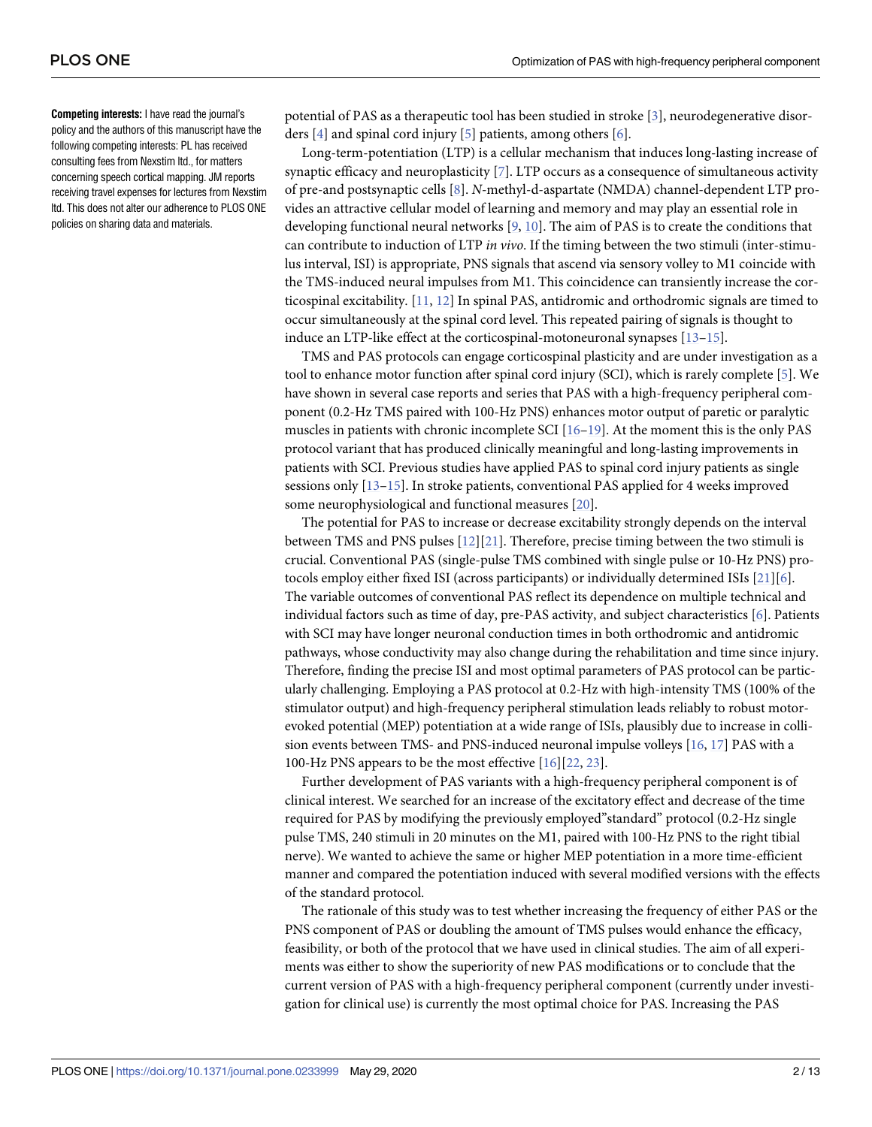<span id="page-1-0"></span>**Competing interests:** I have read the journal's policy and the authors of this manuscript have the following competing interests: PL has received consulting fees from Nexstim ltd., for matters concerning speech cortical mapping. JM reports receiving travel expenses for lectures from Nexstim ltd. This does not alter our adherence to PLOS ONE policies on sharing data and materials.

potential of PAS as a therapeutic tool has been studied in stroke [[3](#page-10-0)], neurodegenerative disorders [\[4](#page-10-0)] and spinal cord injury [\[5](#page-10-0)] patients, among others [\[6\]](#page-10-0).

Long-term-potentiation (LTP) is a cellular mechanism that induces long-lasting increase of synaptic efficacy and neuroplasticity [[7\]](#page-10-0). LTP occurs as a consequence of simultaneous activity of pre-and postsynaptic cells [[8\]](#page-10-0). *N*-methyl-d-aspartate (NMDA) channel-dependent LTP provides an attractive cellular model of learning and memory and may play an essential role in developing functional neural networks [\[9](#page-10-0), [10](#page-10-0)]. The aim of PAS is to create the conditions that can contribute to induction of LTP *in vivo*. If the timing between the two stimuli (inter-stimulus interval, ISI) is appropriate, PNS signals that ascend via sensory volley to M1 coincide with the TMS-induced neural impulses from M1. This coincidence can transiently increase the corticospinal excitability. [\[11,](#page-10-0) [12\]](#page-10-0) In spinal PAS, antidromic and orthodromic signals are timed to occur simultaneously at the spinal cord level. This repeated pairing of signals is thought to induce an LTP-like effect at the corticospinal-motoneuronal synapses [\[13–15\]](#page-11-0).

TMS and PAS protocols can engage corticospinal plasticity and are under investigation as a tool to enhance motor function after spinal cord injury (SCI), which is rarely complete [[5](#page-10-0)]. We have shown in several case reports and series that PAS with a high-frequency peripheral component (0.2-Hz TMS paired with 100-Hz PNS) enhances motor output of paretic or paralytic muscles in patients with chronic incomplete SCI  $[16–19]$  $[16–19]$ . At the moment this is the only PAS protocol variant that has produced clinically meaningful and long-lasting improvements in patients with SCI. Previous studies have applied PAS to spinal cord injury patients as single sessions only [\[13–15](#page-11-0)]. In stroke patients, conventional PAS applied for 4 weeks improved some neurophysiological and functional measures [[20](#page-11-0)].

The potential for PAS to increase or decrease excitability strongly depends on the interval between TMS and PNS pulses  $[12][21]$  $[12][21]$  $[12][21]$  $[12][21]$ . Therefore, precise timing between the two stimuli is crucial. Conventional PAS (single-pulse TMS combined with single pulse or 10-Hz PNS) protocols employ either fixed ISI (across participants) or individually determined ISIs [[21](#page-11-0)][\[6\]](#page-10-0). The variable outcomes of conventional PAS reflect its dependence on multiple technical and individual factors such as time of day, pre-PAS activity, and subject characteristics [\[6\]](#page-10-0). Patients with SCI may have longer neuronal conduction times in both orthodromic and antidromic pathways, whose conductivity may also change during the rehabilitation and time since injury. Therefore, finding the precise ISI and most optimal parameters of PAS protocol can be particularly challenging. Employing a PAS protocol at 0.2-Hz with high-intensity TMS (100% of the stimulator output) and high-frequency peripheral stimulation leads reliably to robust motorevoked potential (MEP) potentiation at a wide range of ISIs, plausibly due to increase in collision events between TMS- and PNS-induced neuronal impulse volleys [[16](#page-11-0), [17](#page-11-0)] PAS with a 100-Hz PNS appears to be the most effective [\[16\]](#page-11-0)[[22](#page-11-0), [23](#page-11-0)].

Further development of PAS variants with a high-frequency peripheral component is of clinical interest. We searched for an increase of the excitatory effect and decrease of the time required for PAS by modifying the previously employed"standard" protocol (0.2-Hz single pulse TMS, 240 stimuli in 20 minutes on the M1, paired with 100-Hz PNS to the right tibial nerve). We wanted to achieve the same or higher MEP potentiation in a more time-efficient manner and compared the potentiation induced with several modified versions with the effects of the standard protocol.

The rationale of this study was to test whether increasing the frequency of either PAS or the PNS component of PAS or doubling the amount of TMS pulses would enhance the efficacy, feasibility, or both of the protocol that we have used in clinical studies. The aim of all experiments was either to show the superiority of new PAS modifications or to conclude that the current version of PAS with a high-frequency peripheral component (currently under investigation for clinical use) is currently the most optimal choice for PAS. Increasing the PAS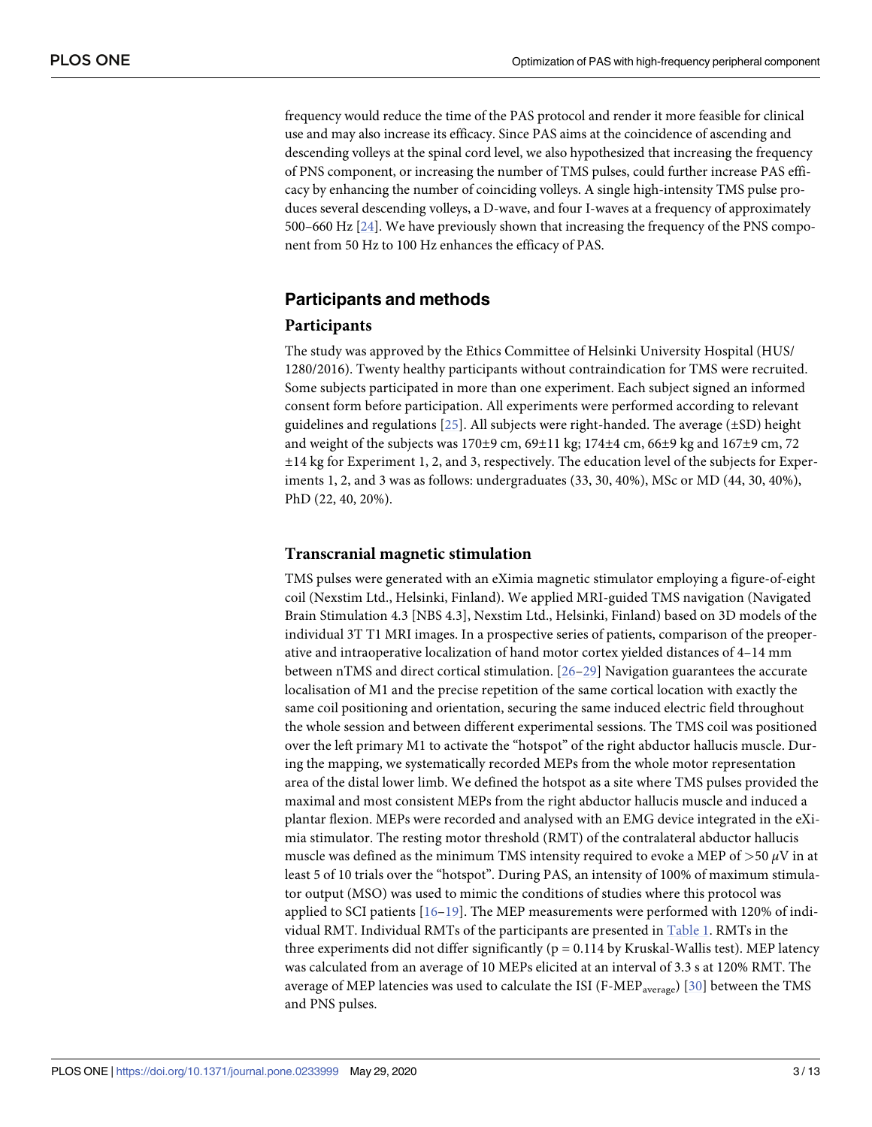<span id="page-2-0"></span>frequency would reduce the time of the PAS protocol and render it more feasible for clinical use and may also increase its efficacy. Since PAS aims at the coincidence of ascending and descending volleys at the spinal cord level, we also hypothesized that increasing the frequency of PNS component, or increasing the number of TMS pulses, could further increase PAS efficacy by enhancing the number of coinciding volleys. A single high-intensity TMS pulse produces several descending volleys, a D-wave, and four I-waves at a frequency of approximately 500–660 Hz [\[24\]](#page-11-0). We have previously shown that increasing the frequency of the PNS component from 50 Hz to 100 Hz enhances the efficacy of PAS.

## **Participants and methods**

#### **Participants**

The study was approved by the Ethics Committee of Helsinki University Hospital (HUS/ 1280/2016). Twenty healthy participants without contraindication for TMS were recruited. Some subjects participated in more than one experiment. Each subject signed an informed consent form before participation. All experiments were performed according to relevant guidelines and regulations  $[25]$  $[25]$ . All subjects were right-handed. The average  $(\pm SD)$  height and weight of the subjects was  $170\pm9$  cm,  $69\pm11$  kg;  $174\pm4$  cm,  $66\pm9$  kg and  $167\pm9$  cm,  $72$ ±14 kg for Experiment 1, 2, and 3, respectively. The education level of the subjects for Experiments 1, 2, and 3 was as follows: undergraduates (33, 30, 40%), MSc or MD (44, 30, 40%), PhD (22, 40, 20%).

#### **Transcranial magnetic stimulation**

TMS pulses were generated with an eXimia magnetic stimulator employing a figure-of-eight coil (Nexstim Ltd., Helsinki, Finland). We applied MRI-guided TMS navigation (Navigated Brain Stimulation 4.3 [NBS 4.3], Nexstim Ltd., Helsinki, Finland) based on 3D models of the individual 3T T1 MRI images. In a prospective series of patients, comparison of the preoperative and intraoperative localization of hand motor cortex yielded distances of 4–14 mm between nTMS and direct cortical stimulation. [[26](#page-11-0)–[29](#page-11-0)] Navigation guarantees the accurate localisation of M1 and the precise repetition of the same cortical location with exactly the same coil positioning and orientation, securing the same induced electric field throughout the whole session and between different experimental sessions. The TMS coil was positioned over the left primary M1 to activate the "hotspot" of the right abductor hallucis muscle. During the mapping, we systematically recorded MEPs from the whole motor representation area of the distal lower limb. We defined the hotspot as a site where TMS pulses provided the maximal and most consistent MEPs from the right abductor hallucis muscle and induced a plantar flexion. MEPs were recorded and analysed with an EMG device integrated in the eXimia stimulator. The resting motor threshold (RMT) of the contralateral abductor hallucis muscle was defined as the minimum TMS intensity required to evoke a MEP of *>*50 *μ*V in at least 5 of 10 trials over the "hotspot". During PAS, an intensity of 100% of maximum stimulator output (MSO) was used to mimic the conditions of studies where this protocol was applied to SCI patients  $[16–19]$  $[16–19]$  $[16–19]$  $[16–19]$  $[16–19]$ . The MEP measurements were performed with 120% of individual RMT. Individual RMTs of the participants are presented in [Table](#page-3-0) 1. RMTs in the three experiments did not differ significantly ( $p = 0.114$  by Kruskal-Wallis test). MEP latency was calculated from an average of 10 MEPs elicited at an interval of 3.3 s at 120% RMT. The average of MEP latencies was used to calculate the ISI (F-MEP<sub>average</sub>) [[30](#page-11-0)] between the TMS and PNS pulses.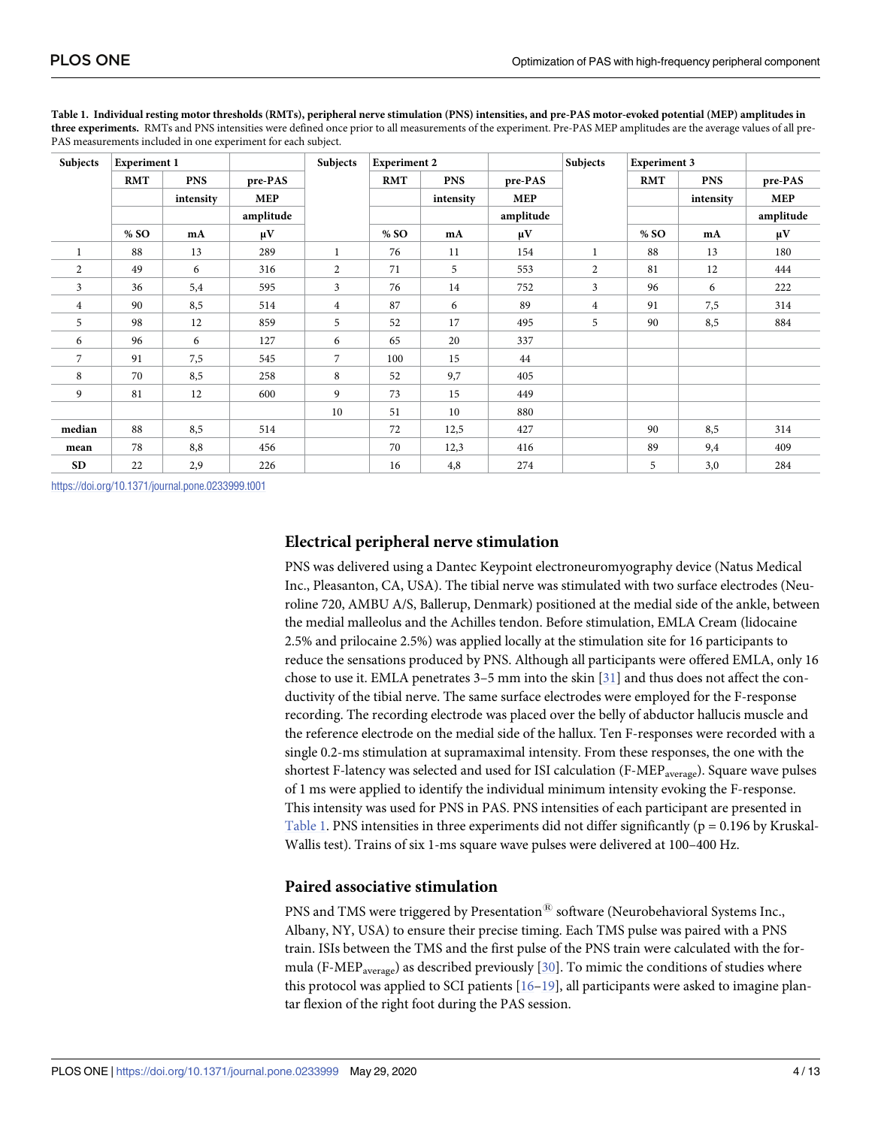| Subjects       | <b>Experiment 1</b> |            |            | Subjects       | <b>Experiment 2</b> |            |            | Subjects       | <b>Experiment 3</b> |            |            |
|----------------|---------------------|------------|------------|----------------|---------------------|------------|------------|----------------|---------------------|------------|------------|
|                | <b>RMT</b>          | <b>PNS</b> | pre-PAS    |                | <b>RMT</b>          | <b>PNS</b> | pre-PAS    |                | <b>RMT</b>          | <b>PNS</b> | pre-PAS    |
|                |                     | intensity  | <b>MEP</b> |                |                     | intensity  | <b>MEP</b> |                |                     | intensity  | <b>MEP</b> |
|                |                     |            | amplitude  |                |                     |            | amplitude  |                |                     |            | amplitude  |
|                | % SO                | mA         | $\mu$ V    |                | % SO                | mA         | $\mu$ V    |                | % SO                | mA         | $\mu$ V    |
| 1              | 88                  | 13         | 289        | $\mathbf{1}$   | 76                  | 11         | 154        |                | 88                  | 13         | 180        |
| 2              | 49                  | 6          | 316        | $\overline{2}$ | 71                  | 5          | 553        | $\overline{2}$ | 81                  | 12         | 444        |
| 3              | 36                  | 5,4        | 595        | 3              | 76                  | 14         | 752        | 3              | 96                  | 6          | 222        |
| $\overline{4}$ | 90                  | 8,5        | 514        | $\overline{4}$ | 87                  | 6          | 89         | $\overline{4}$ | 91                  | 7,5        | 314        |
| 5              | 98                  | 12         | 859        | 5              | 52                  | 17         | 495        | 5              | 90                  | 8,5        | 884        |
| 6              | 96                  | 6          | 127        | 6              | 65                  | 20         | 337        |                |                     |            |            |
| 7              | 91                  | 7,5        | 545        | $\overline{7}$ | 100                 | 15         | 44         |                |                     |            |            |
| 8              | 70                  | 8,5        | 258        | 8              | 52                  | 9,7        | 405        |                |                     |            |            |
| 9              | 81                  | 12         | 600        | 9              | 73                  | 15         | 449        |                |                     |            |            |
|                |                     |            |            | 10             | 51                  | 10         | 880        |                |                     |            |            |
| median         | 88                  | 8,5        | 514        |                | 72                  | 12,5       | 427        |                | 90                  | 8,5        | 314        |
| mean           | 78                  | 8,8        | 456        |                | 70                  | 12,3       | 416        |                | 89                  | 9,4        | 409        |
| <b>SD</b>      | 22                  | 2,9        | 226        |                | 16                  | 4,8        | 274        |                | 5                   | 3,0        | 284        |

<span id="page-3-0"></span>[Table](#page-2-0) 1. Individual resting motor thresholds (RMTs), peripheral nerve stimulation (PNS) intensities, and pre-PAS motor-evoked potential (MEP) amplitudes in **three experiments.** RMTs and PNS intensities were defined once prior to all measurements of the experiment. Pre-PAS MEP amplitudes are the average values of all pre-PAS measurements included in one experiment for each subject.

<https://doi.org/10.1371/journal.pone.0233999.t001>

#### **Electrical peripheral nerve stimulation**

PNS was delivered using a Dantec Keypoint electroneuromyography device (Natus Medical Inc., Pleasanton, CA, USA). The tibial nerve was stimulated with two surface electrodes (Neuroline 720, AMBU A/S, Ballerup, Denmark) positioned at the medial side of the ankle, between the medial malleolus and the Achilles tendon. Before stimulation, EMLA Cream (lidocaine 2.5% and prilocaine 2.5%) was applied locally at the stimulation site for 16 participants to reduce the sensations produced by PNS. Although all participants were offered EMLA, only 16 chose to use it. EMLA penetrates 3–5 mm into the skin [\[31\]](#page-11-0) and thus does not affect the conductivity of the tibial nerve. The same surface electrodes were employed for the F-response recording. The recording electrode was placed over the belly of abductor hallucis muscle and the reference electrode on the medial side of the hallux. Ten F-responses were recorded with a single 0.2-ms stimulation at supramaximal intensity. From these responses, the one with the shortest F-latency was selected and used for ISI calculation (F-MEP<sub>average</sub>). Square wave pulses of 1 ms were applied to identify the individual minimum intensity evoking the F-response. This intensity was used for PNS in PAS. PNS intensities of each participant are presented in Table 1. PNS intensities in three experiments did not differ significantly ( $p = 0.196$  by Kruskal-Wallis test). Trains of six 1-ms square wave pulses were delivered at 100–400 Hz.

#### **Paired associative stimulation**

PNS and TMS were triggered by Presentation<sup>®</sup> software (Neurobehavioral Systems Inc., Albany, NY, USA) to ensure their precise timing. Each TMS pulse was paired with a PNS train. ISIs between the TMS and the first pulse of the PNS train were calculated with the for-mula (F-MEP<sub>average</sub>) as described previously [[30](#page-11-0)]. To mimic the conditions of studies where this protocol was applied to SCI patients  $[16–19]$  $[16–19]$ , all participants were asked to imagine plantar flexion of the right foot during the PAS session.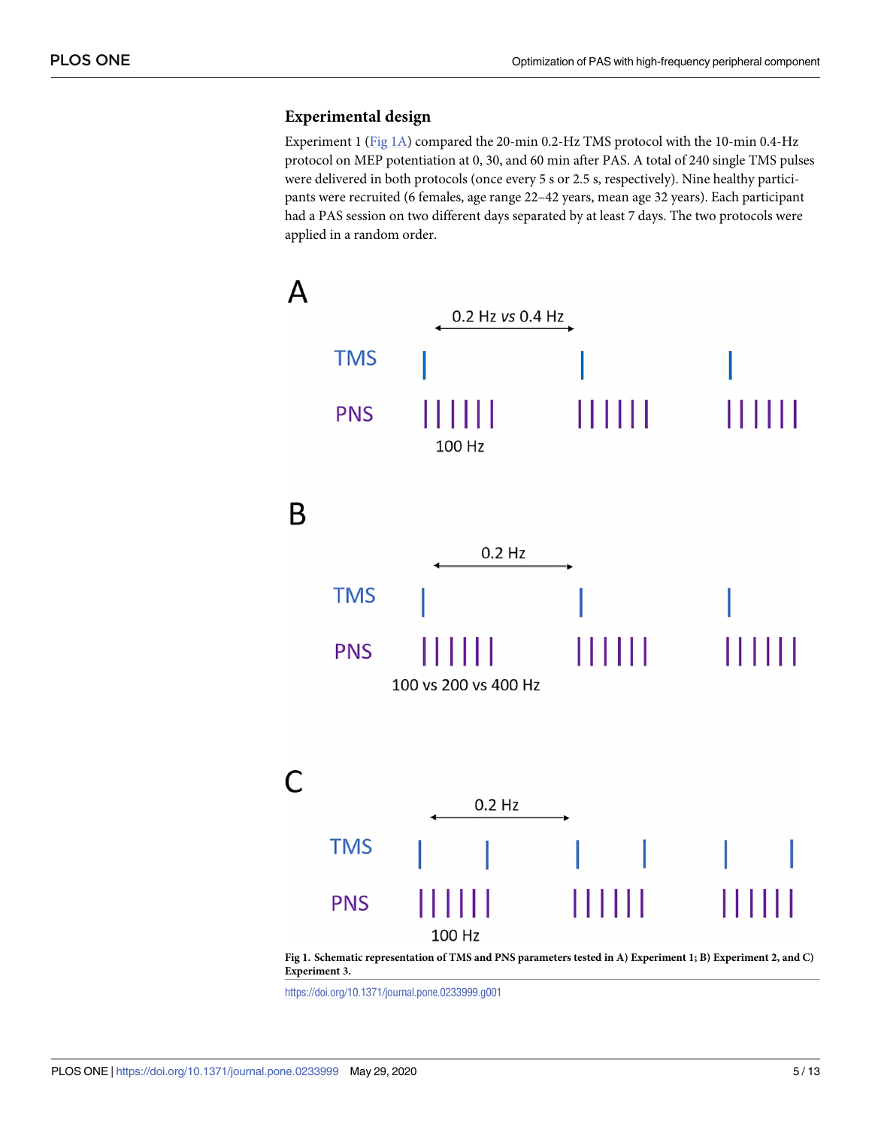# <span id="page-4-0"></span>**Experimental design**

Experiment 1 (Fig 1A) compared the 20-min 0.2-Hz TMS protocol with the 10-min 0.4-Hz protocol on MEP potentiation at 0, 30, and 60 min after PAS. A total of 240 single TMS pulses were delivered in both protocols (once every 5 s or 2.5 s, respectively). Nine healthy participants were recruited (6 females, age range 22–42 years, mean age 32 years). Each participant had a PAS session on two different days separated by at least 7 days. The two protocols were applied in a random order.





<https://doi.org/10.1371/journal.pone.0233999.g001>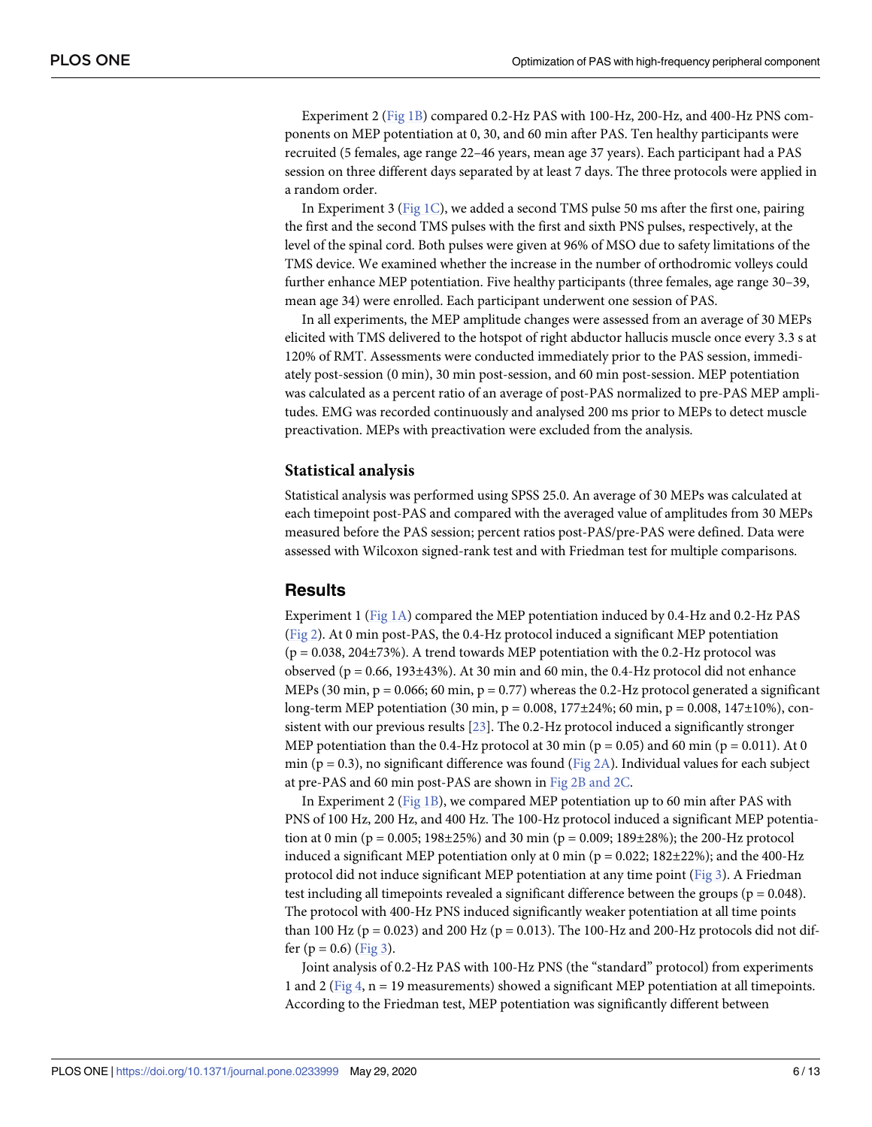<span id="page-5-0"></span>Experiment 2 ([Fig](#page-4-0) 1B) compared 0.2-Hz PAS with 100-Hz, 200-Hz, and 400-Hz PNS components on MEP potentiation at 0, 30, and 60 min after PAS. Ten healthy participants were recruited (5 females, age range 22–46 years, mean age 37 years). Each participant had a PAS session on three different days separated by at least 7 days. The three protocols were applied in a random order.

In Experiment 3 ([Fig](#page-4-0) 1C), we added a second TMS pulse 50 ms after the first one, pairing the first and the second TMS pulses with the first and sixth PNS pulses, respectively, at the level of the spinal cord. Both pulses were given at 96% of MSO due to safety limitations of the TMS device. We examined whether the increase in the number of orthodromic volleys could further enhance MEP potentiation. Five healthy participants (three females, age range 30–39, mean age 34) were enrolled. Each participant underwent one session of PAS.

In all experiments, the MEP amplitude changes were assessed from an average of 30 MEPs elicited with TMS delivered to the hotspot of right abductor hallucis muscle once every 3.3 s at 120% of RMT. Assessments were conducted immediately prior to the PAS session, immediately post-session (0 min), 30 min post-session, and 60 min post-session. MEP potentiation was calculated as a percent ratio of an average of post-PAS normalized to pre-PAS MEP amplitudes. EMG was recorded continuously and analysed 200 ms prior to MEPs to detect muscle preactivation. MEPs with preactivation were excluded from the analysis.

#### **Statistical analysis**

Statistical analysis was performed using SPSS 25.0. An average of 30 MEPs was calculated at each timepoint post-PAS and compared with the averaged value of amplitudes from 30 MEPs measured before the PAS session; percent ratios post-PAS/pre-PAS were defined. Data were assessed with Wilcoxon signed-rank test and with Friedman test for multiple comparisons.

#### **Results**

Experiment 1 ([Fig](#page-4-0) 1A) compared the MEP potentiation induced by 0.4-Hz and 0.2-Hz PAS [\(Fig](#page-6-0) 2). At 0 min post-PAS, the 0.4-Hz protocol induced a significant MEP potentiation  $(p = 0.038, 204\pm73%)$ . A trend towards MEP potentiation with the 0.2-Hz protocol was observed ( $p = 0.66$ , 193 $\pm$ 43%). At 30 min and 60 min, the 0.4-Hz protocol did not enhance MEPs (30 min,  $p = 0.066$ ; 60 min,  $p = 0.77$ ) whereas the 0.2-Hz protocol generated a significant long-term MEP potentiation (30 min,  $p = 0.008$ , 177 $\pm$ 24%; 60 min,  $p = 0.008$ , 147 $\pm$ 10%), consistent with our previous results [\[23\]](#page-11-0). The 0.2-Hz protocol induced a significantly stronger MEP potentiation than the 0.4-Hz protocol at 30 min ( $p = 0.05$ ) and 60 min ( $p = 0.011$ ). At 0 min ( $p = 0.3$ ), no significant difference was found [\(Fig](#page-6-0) 2A). Individual values for each subject at pre-PAS and 60 min post-PAS are shown in Fig 2B [and](#page-6-0) 2C.

In Experiment 2 ([Fig](#page-4-0) 1B), we compared MEP potentiation up to 60 min after PAS with PNS of 100 Hz, 200 Hz, and 400 Hz. The 100-Hz protocol induced a significant MEP potentiation at 0 min (p = 0.005; 198±25%) and 30 min (p = 0.009; 189±28%); the 200-Hz protocol induced a significant MEP potentiation only at 0 min ( $p = 0.022$ ; 182 $\pm$ 22%); and the 400-Hz protocol did not induce significant MEP potentiation at any time point ([Fig](#page-7-0) 3). A Friedman test including all timepoints revealed a significant difference between the groups ( $p = 0.048$ ). The protocol with 400-Hz PNS induced significantly weaker potentiation at all time points than 100 Hz ( $p = 0.023$ ) and 200 Hz ( $p = 0.013$ ). The 100-Hz and 200-Hz protocols did not differ  $(p = 0.6)$  ([Fig](#page-7-0) 3).

Joint analysis of 0.2-Hz PAS with 100-Hz PNS (the "standard" protocol) from experiments 1 and 2 ([Fig](#page-7-0) 4,  $n = 19$  measurements) showed a significant MEP potentiation at all timepoints. According to the Friedman test, MEP potentiation was significantly different between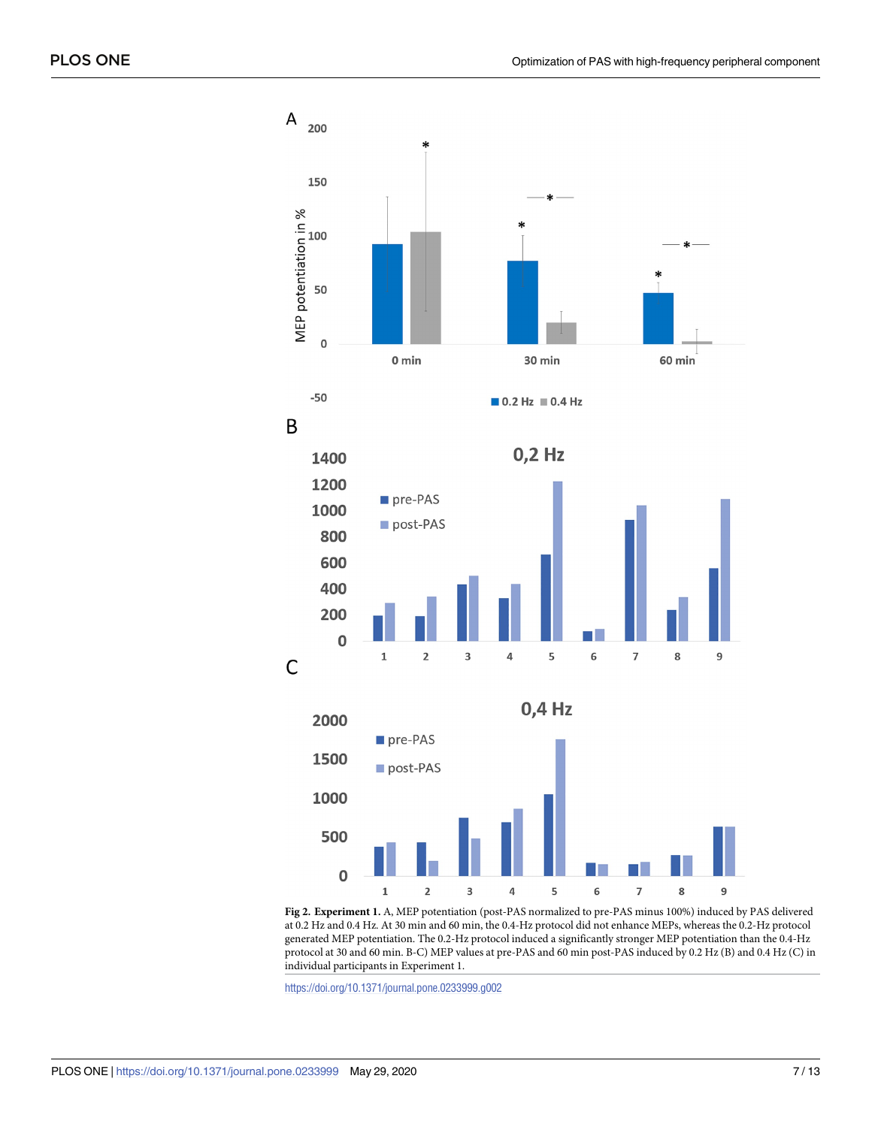<span id="page-6-0"></span>

**[Fig](#page-5-0) 2. Experiment 1.** A, MEP potentiation (post-PAS normalized to pre-PAS minus 100%) induced by PAS delivered at 0.2 Hz and 0.4 Hz. At 30 min and 60 min, the 0.4-Hz protocol did not enhance MEPs, whereas the 0.2-Hz protocol generated MEP potentiation. The 0.2-Hz protocol induced a significantly stronger MEP potentiation than the 0.4-Hz protocol at 30 and 60 min. B-C) MEP values at pre-PAS and 60 min post-PAS induced by 0.2 Hz (B) and 0.4 Hz (C) in individual participants in Experiment 1.

<https://doi.org/10.1371/journal.pone.0233999.g002>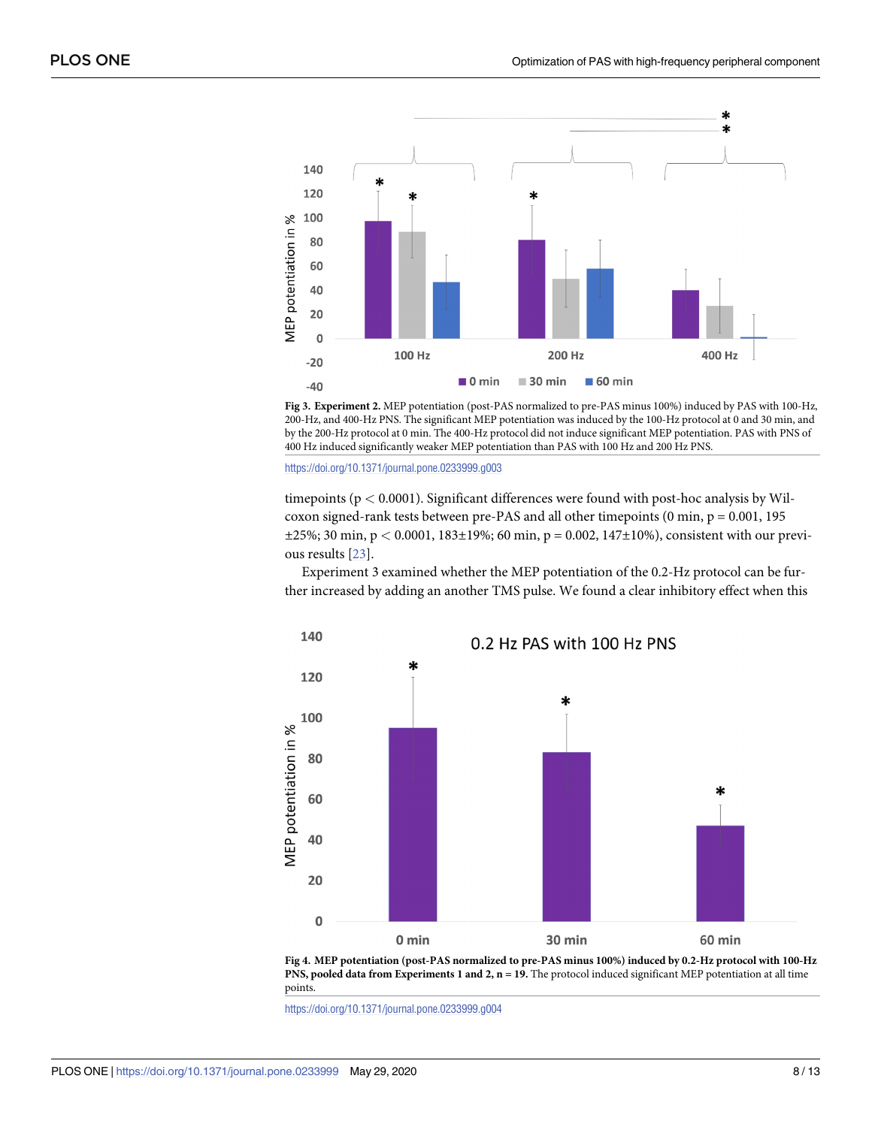<span id="page-7-0"></span>

**[Fig](#page-5-0) 3. Experiment 2.** MEP potentiation (post-PAS normalized to pre-PAS minus 100%) induced by PAS with 100-Hz, 200-Hz, and 400-Hz PNS. The significant MEP potentiation was induced by the 100-Hz protocol at 0 and 30 min, and by the 200-Hz protocol at 0 min. The 400-Hz protocol did not induce significant MEP potentiation. PAS with PNS of 400 Hz induced significantly weaker MEP potentiation than PAS with 100 Hz and 200 Hz PNS.

<https://doi.org/10.1371/journal.pone.0233999.g003>

timepoints (p *<* 0.0001). Significant differences were found with post-hoc analysis by Wilcoxon signed-rank tests between pre-PAS and all other timepoints  $(0 \text{ min}, p = 0.001, 195)$ ±25%; 30 min, p *<* 0.0001, 183±19%; 60 min, p = 0.002, 147±10%), consistent with our previous results [[23](#page-11-0)].

Experiment 3 examined whether the MEP potentiation of the 0.2-Hz protocol can be further increased by adding an another TMS pulse. We found a clear inhibitory effect when this





<https://doi.org/10.1371/journal.pone.0233999.g004>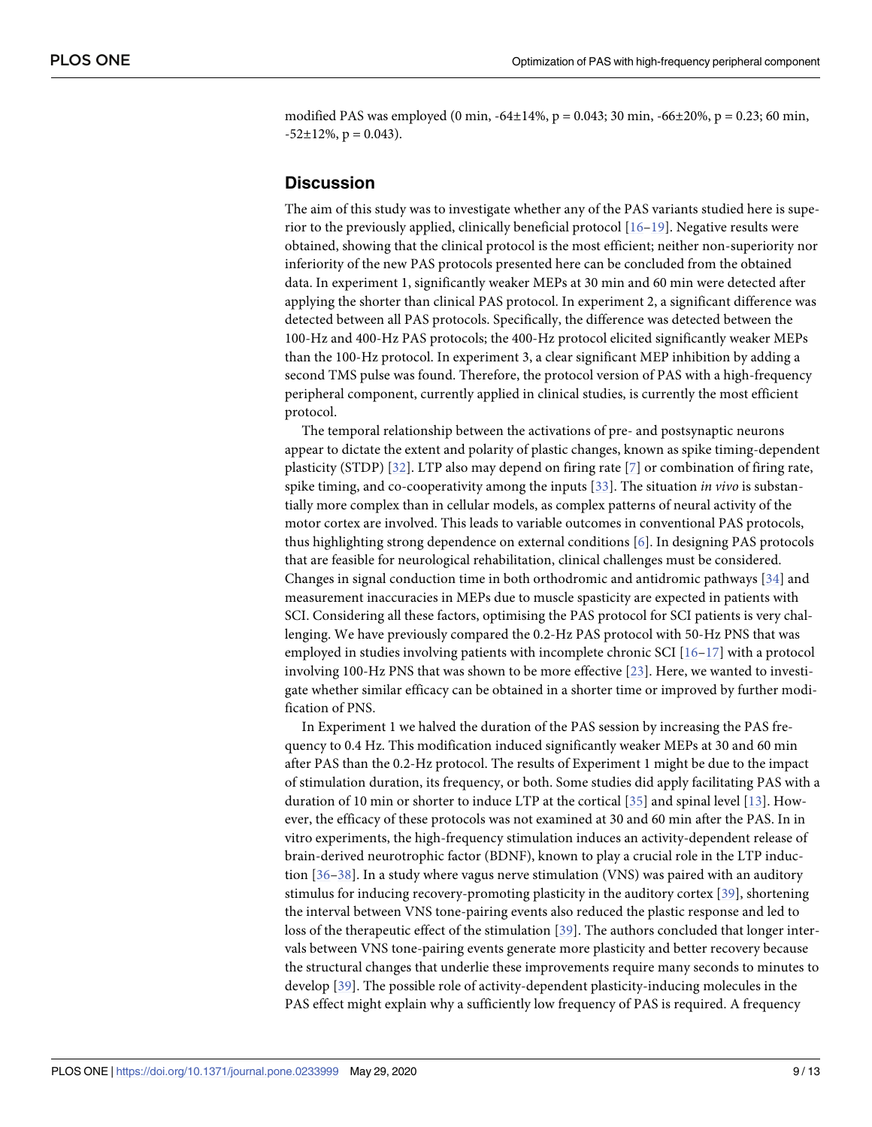<span id="page-8-0"></span>modified PAS was employed (0 min,  $-64\pm14\%$ , p = 0.043; 30 min,  $-66\pm20\%$ , p = 0.23; 60 min,  $-52\pm12\%$ , p = 0.043).

# **Discussion**

The aim of this study was to investigate whether any of the PAS variants studied here is superior to the previously applied, clinically beneficial protocol  $[16-19]$ . Negative results were obtained, showing that the clinical protocol is the most efficient; neither non-superiority nor inferiority of the new PAS protocols presented here can be concluded from the obtained data. In experiment 1, significantly weaker MEPs at 30 min and 60 min were detected after applying the shorter than clinical PAS protocol. In experiment 2, a significant difference was detected between all PAS protocols. Specifically, the difference was detected between the 100-Hz and 400-Hz PAS protocols; the 400-Hz protocol elicited significantly weaker MEPs than the 100-Hz protocol. In experiment 3, a clear significant MEP inhibition by adding a second TMS pulse was found. Therefore, the protocol version of PAS with a high-frequency peripheral component, currently applied in clinical studies, is currently the most efficient protocol.

The temporal relationship between the activations of pre- and postsynaptic neurons appear to dictate the extent and polarity of plastic changes, known as spike timing-dependent plasticity (STDP) [[32](#page-11-0)]. LTP also may depend on firing rate [[7\]](#page-10-0) or combination of firing rate, spike timing, and co-cooperativity among the inputs [\[33\]](#page-11-0). The situation *in vivo* is substantially more complex than in cellular models, as complex patterns of neural activity of the motor cortex are involved. This leads to variable outcomes in conventional PAS protocols, thus highlighting strong dependence on external conditions [\[6\]](#page-10-0). In designing PAS protocols that are feasible for neurological rehabilitation, clinical challenges must be considered. Changes in signal conduction time in both orthodromic and antidromic pathways [[34\]](#page-11-0) and measurement inaccuracies in MEPs due to muscle spasticity are expected in patients with SCI. Considering all these factors, optimising the PAS protocol for SCI patients is very challenging. We have previously compared the 0.2-Hz PAS protocol with 50-Hz PNS that was employed in studies involving patients with incomplete chronic SCI [[16](#page-11-0)–[17](#page-11-0)] with a protocol involving 100-Hz PNS that was shown to be more effective [[23](#page-11-0)]. Here, we wanted to investigate whether similar efficacy can be obtained in a shorter time or improved by further modification of PNS.

In Experiment 1 we halved the duration of the PAS session by increasing the PAS frequency to 0.4 Hz. This modification induced significantly weaker MEPs at 30 and 60 min after PAS than the 0.2-Hz protocol. The results of Experiment 1 might be due to the impact of stimulation duration, its frequency, or both. Some studies did apply facilitating PAS with a duration of 10 min or shorter to induce LTP at the cortical [\[35\]](#page-11-0) and spinal level [[13](#page-11-0)]. However, the efficacy of these protocols was not examined at 30 and 60 min after the PAS. In in vitro experiments, the high-frequency stimulation induces an activity-dependent release of brain-derived neurotrophic factor (BDNF), known to play a crucial role in the LTP induction [\[36–38\]](#page-12-0). In a study where vagus nerve stimulation (VNS) was paired with an auditory stimulus for inducing recovery-promoting plasticity in the auditory cortex [[39](#page-12-0)], shortening the interval between VNS tone-pairing events also reduced the plastic response and led to loss of the therapeutic effect of the stimulation [[39\]](#page-12-0). The authors concluded that longer intervals between VNS tone-pairing events generate more plasticity and better recovery because the structural changes that underlie these improvements require many seconds to minutes to develop [\[39\]](#page-12-0). The possible role of activity-dependent plasticity-inducing molecules in the PAS effect might explain why a sufficiently low frequency of PAS is required. A frequency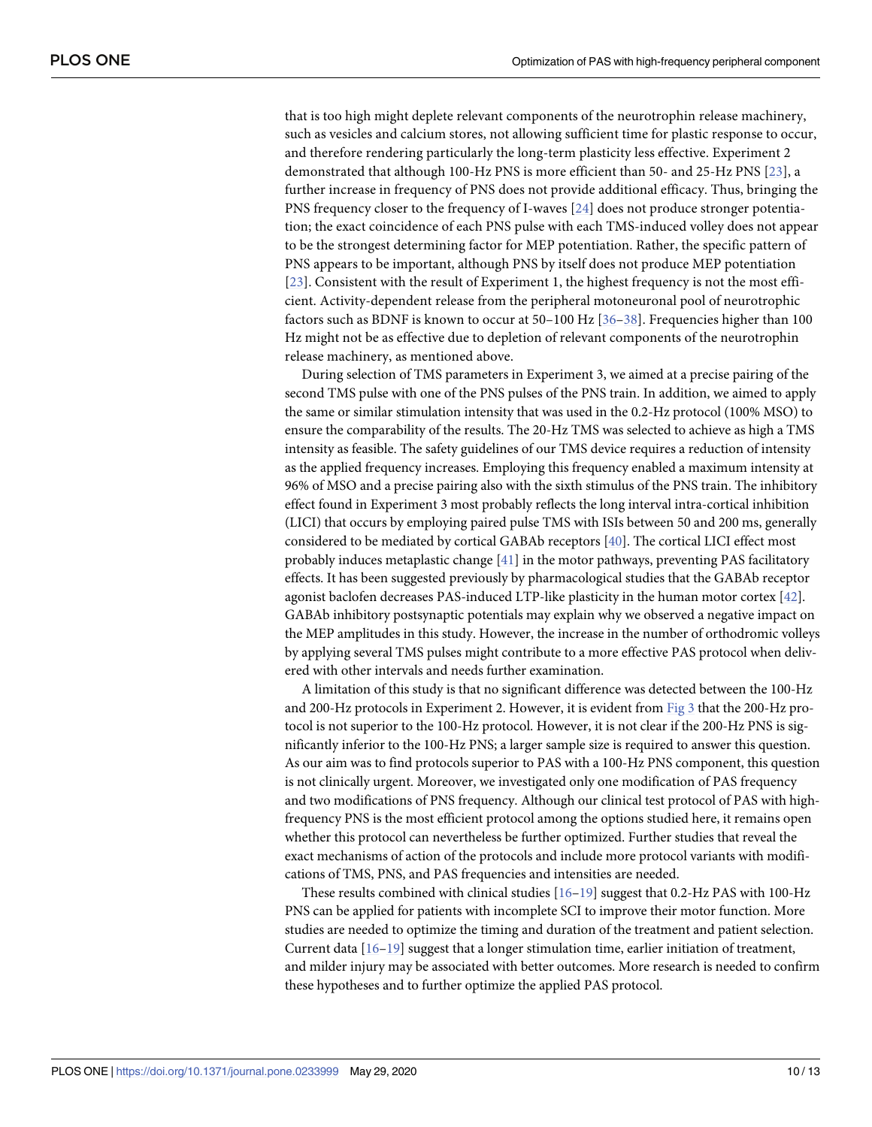<span id="page-9-0"></span>that is too high might deplete relevant components of the neurotrophin release machinery, such as vesicles and calcium stores, not allowing sufficient time for plastic response to occur, and therefore rendering particularly the long-term plasticity less effective. Experiment 2 demonstrated that although 100-Hz PNS is more efficient than 50- and 25-Hz PNS [\[23\]](#page-11-0), a further increase in frequency of PNS does not provide additional efficacy. Thus, bringing the PNS frequency closer to the frequency of I-waves [\[24\]](#page-11-0) does not produce stronger potentiation; the exact coincidence of each PNS pulse with each TMS-induced volley does not appear to be the strongest determining factor for MEP potentiation. Rather, the specific pattern of PNS appears to be important, although PNS by itself does not produce MEP potentiation [\[23](#page-11-0)]. Consistent with the result of Experiment 1, the highest frequency is not the most efficient. Activity-dependent release from the peripheral motoneuronal pool of neurotrophic factors such as BDNF is known to occur at 50–100 Hz [\[36–38\]](#page-12-0). Frequencies higher than 100 Hz might not be as effective due to depletion of relevant components of the neurotrophin release machinery, as mentioned above.

During selection of TMS parameters in Experiment 3, we aimed at a precise pairing of the second TMS pulse with one of the PNS pulses of the PNS train. In addition, we aimed to apply the same or similar stimulation intensity that was used in the 0.2-Hz protocol (100% MSO) to ensure the comparability of the results. The 20-Hz TMS was selected to achieve as high a TMS intensity as feasible. The safety guidelines of our TMS device requires a reduction of intensity as the applied frequency increases. Employing this frequency enabled a maximum intensity at 96% of MSO and a precise pairing also with the sixth stimulus of the PNS train. The inhibitory effect found in Experiment 3 most probably reflects the long interval intra-cortical inhibition (LICI) that occurs by employing paired pulse TMS with ISIs between 50 and 200 ms, generally considered to be mediated by cortical GABAb receptors [\[40\]](#page-12-0). The cortical LICI effect most probably induces metaplastic change [[41](#page-12-0)] in the motor pathways, preventing PAS facilitatory effects. It has been suggested previously by pharmacological studies that the GABAb receptor agonist baclofen decreases PAS-induced LTP-like plasticity in the human motor cortex [[42](#page-12-0)]. GABAb inhibitory postsynaptic potentials may explain why we observed a negative impact on the MEP amplitudes in this study. However, the increase in the number of orthodromic volleys by applying several TMS pulses might contribute to a more effective PAS protocol when delivered with other intervals and needs further examination.

A limitation of this study is that no significant difference was detected between the 100-Hz and 200-Hz protocols in Experiment 2. However, it is evident from [Fig](#page-7-0) 3 that the 200-Hz protocol is not superior to the 100-Hz protocol. However, it is not clear if the 200-Hz PNS is significantly inferior to the 100-Hz PNS; a larger sample size is required to answer this question. As our aim was to find protocols superior to PAS with a 100-Hz PNS component, this question is not clinically urgent. Moreover, we investigated only one modification of PAS frequency and two modifications of PNS frequency. Although our clinical test protocol of PAS with highfrequency PNS is the most efficient protocol among the options studied here, it remains open whether this protocol can nevertheless be further optimized. Further studies that reveal the exact mechanisms of action of the protocols and include more protocol variants with modifications of TMS, PNS, and PAS frequencies and intensities are needed.

These results combined with clinical studies  $[16–19]$  $[16–19]$  suggest that 0.2-Hz PAS with 100-Hz PNS can be applied for patients with incomplete SCI to improve their motor function. More studies are needed to optimize the timing and duration of the treatment and patient selection. Current data [[16–19\]](#page-11-0) suggest that a longer stimulation time, earlier initiation of treatment, and milder injury may be associated with better outcomes. More research is needed to confirm these hypotheses and to further optimize the applied PAS protocol.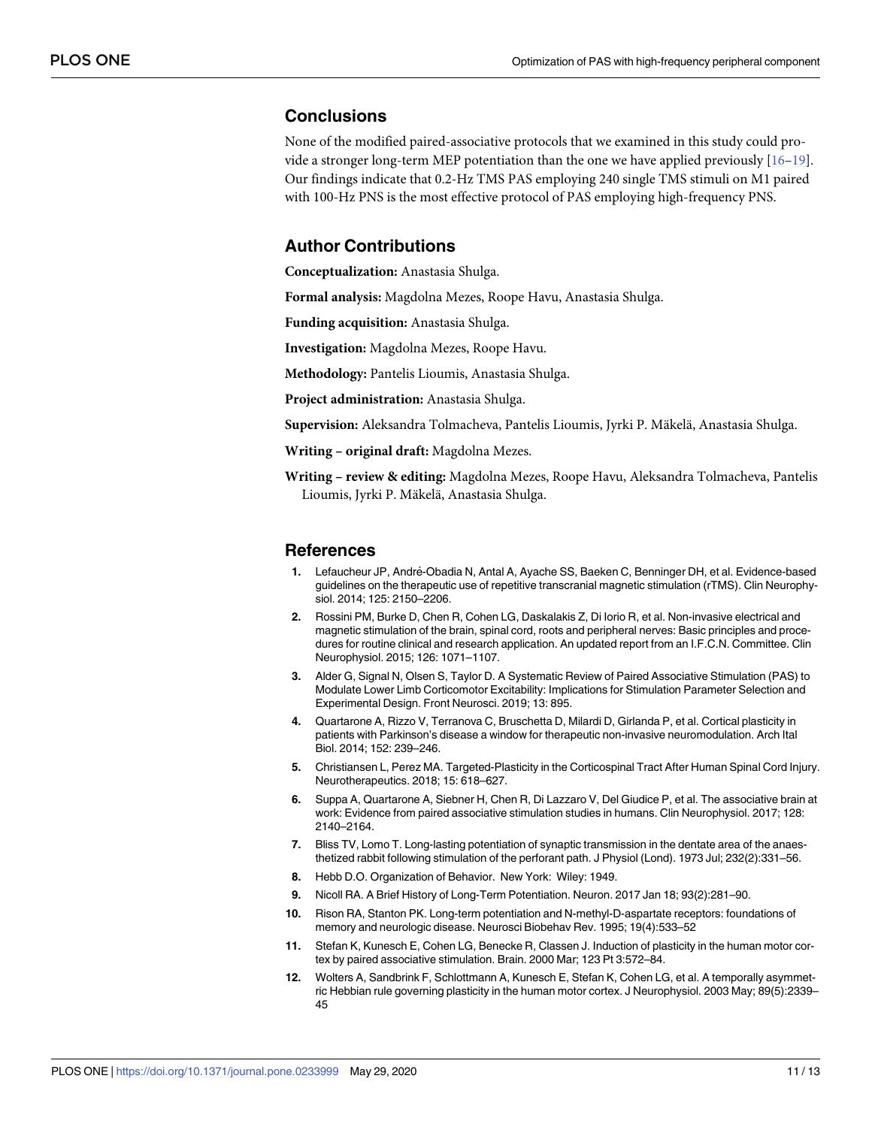### <span id="page-10-0"></span>**Conclusions**

None of the modified paired-associative protocols that we examined in this study could provide a stronger long-term MEP potentiation than the one we have applied previously [[16–19\]](#page-11-0). Our findings indicate that 0.2-Hz TMS PAS employing 240 single TMS stimuli on M1 paired with 100-Hz PNS is the most effective protocol of PAS employing high-frequency PNS.

# **Author Contributions**

**Conceptualization:** Anastasia Shulga.

**Formal analysis:** Magdolna Mezes, Roope Havu, Anastasia Shulga.

**Funding acquisition:** Anastasia Shulga.

**Investigation:** Magdolna Mezes, Roope Havu.

**Methodology:** Pantelis Lioumis, Anastasia Shulga.

**Project administration:** Anastasia Shulga.

**Supervision:** Aleksandra Tolmacheva, Pantelis Lioumis, Jyrki P. Mäkelä, Anastasia Shulga.

**Writing – original draft:** Magdolna Mezes.

**Writing – review & editing:** Magdolna Mezes, Roope Havu, Aleksandra Tolmacheva, Pantelis Lioumis, Jyrki P. Mäkelä, Anastasia Shulga.

#### **References**

- **[1](#page-0-0).** Lefaucheur JP, Andre´-Obadia N, Antal A, Ayache SS, Baeken C, Benninger DH, et al. Evidence-based guidelines on the therapeutic use of repetitive transcranial magnetic stimulation (rTMS). Clin Neurophysiol. 2014; 125: 2150–2206.
- **[2](#page-0-0).** Rossini PM, Burke D, Chen R, Cohen LG, Daskalakis Z, Di Iorio R, et al. Non-invasive electrical and magnetic stimulation of the brain, spinal cord, roots and peripheral nerves: Basic principles and procedures for routine clinical and research application. An updated report from an I.F.C.N. Committee. Clin Neurophysiol. 2015; 126: 1071–1107.
- **[3](#page-1-0).** Alder G, Signal N, Olsen S, Taylor D. A Systematic Review of Paired Associative Stimulation (PAS) to Modulate Lower Limb Corticomotor Excitability: Implications for Stimulation Parameter Selection and Experimental Design. Front Neurosci. 2019; 13: 895.
- **[4](#page-1-0).** Quartarone A, Rizzo V, Terranova C, Bruschetta D, Milardi D, Girlanda P, et al. Cortical plasticity in patients with Parkinson's disease a window for therapeutic non-invasive neuromodulation. Arch Ital Biol. 2014; 152: 239–246.
- **[5](#page-1-0).** Christiansen L, Perez MA. Targeted-Plasticity in the Corticospinal Tract After Human Spinal Cord Injury. Neurotherapeutics. 2018; 15: 618–627.
- **[6](#page-1-0).** Suppa A, Quartarone A, Siebner H, Chen R, Di Lazzaro V, Del Giudice P, et al. The associative brain at work: Evidence from paired associative stimulation studies in humans. Clin Neurophysiol. 2017; 128: 2140–2164.
- **[7](#page-1-0).** Bliss TV, Lomo T. Long-lasting potentiation of synaptic transmission in the dentate area of the anaesthetized rabbit following stimulation of the perforant path. J Physiol (Lond). 1973 Jul; 232(2):331–56.
- **[8](#page-1-0).** Hebb D.O. Organization of Behavior. New York: Wiley: 1949.
- **[9](#page-1-0).** Nicoll RA. A Brief History of Long-Term Potentiation. Neuron. 2017 Jan 18; 93(2):281–90.
- **[10](#page-1-0).** Rison RA, Stanton PK. Long-term potentiation and N-methyl-D-aspartate receptors: foundations of memory and neurologic disease. Neurosci Biobehav Rev. 1995; 19(4):533–52
- **[11](#page-1-0).** Stefan K, Kunesch E, Cohen LG, Benecke R, Classen J. Induction of plasticity in the human motor cortex by paired associative stimulation. Brain. 2000 Mar; 123 Pt 3:572–84.
- **[12](#page-1-0).** Wolters A, Sandbrink F, Schlottmann A, Kunesch E, Stefan K, Cohen LG, et al. A temporally asymmetric Hebbian rule governing plasticity in the human motor cortex. J Neurophysiol. 2003 May; 89(5):2339– 45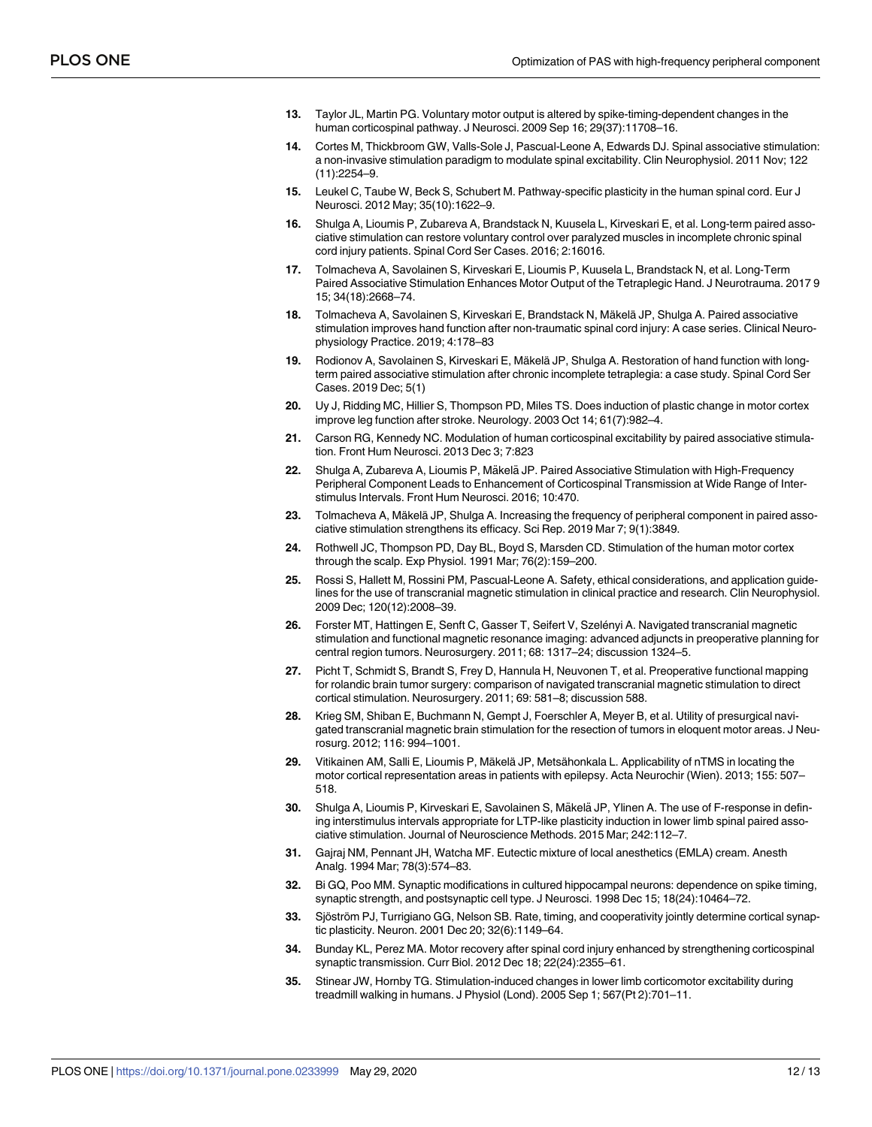- <span id="page-11-0"></span>**[13](#page-1-0).** Taylor JL, Martin PG. Voluntary motor output is altered by spike-timing-dependent changes in the human corticospinal pathway. J Neurosci. 2009 Sep 16; 29(37):11708–16.
- **14.** Cortes M, Thickbroom GW, Valls-Sole J, Pascual-Leone A, Edwards DJ. Spinal associative stimulation: a non-invasive stimulation paradigm to modulate spinal excitability. Clin Neurophysiol. 2011 Nov; 122 (11):2254–9.
- **[15](#page-1-0).** Leukel C, Taube W, Beck S, Schubert M. Pathway-specific plasticity in the human spinal cord. Eur J Neurosci. 2012 May; 35(10):1622–9.
- **[16](#page-1-0).** Shulga A, Lioumis P, Zubareva A, Brandstack N, Kuusela L, Kirveskari E, et al. Long-term paired associative stimulation can restore voluntary control over paralyzed muscles in incomplete chronic spinal cord injury patients. Spinal Cord Ser Cases. 2016; 2:16016.
- **[17](#page-1-0).** Tolmacheva A, Savolainen S, Kirveskari E, Lioumis P, Kuusela L, Brandstack N, et al. Long-Term Paired Associative Stimulation Enhances Motor Output of the Tetraplegic Hand. J Neurotrauma. 2017 9 15; 34(18):2668–74.
- 18. Tolmacheva A, Savolainen S, Kirveskari E, Brandstack N, Mäkelä JP, Shulga A. Paired associative stimulation improves hand function after non-traumatic spinal cord injury: A case series. Clinical Neurophysiology Practice. 2019; 4:178–83
- **[19](#page-1-0).** Rodionov A, Savolainen S, Kirveskari E, Mäkelä JP, Shulga A. Restoration of hand function with longterm paired associative stimulation after chronic incomplete tetraplegia: a case study. Spinal Cord Ser Cases. 2019 Dec; 5(1)
- **[20](#page-1-0).** Uy J, Ridding MC, Hillier S, Thompson PD, Miles TS. Does induction of plastic change in motor cortex improve leg function after stroke. Neurology. 2003 Oct 14; 61(7):982–4.
- **[21](#page-1-0).** Carson RG, Kennedy NC. Modulation of human corticospinal excitability by paired associative stimulation. Front Hum Neurosci. 2013 Dec 3; 7:823
- [22](#page-1-0). Shulga A, Zubareva A, Lioumis P, Mäkelä JP. Paired Associative Stimulation with High-Frequency Peripheral Component Leads to Enhancement of Corticospinal Transmission at Wide Range of Interstimulus Intervals. Front Hum Neurosci. 2016; 10:470.
- **[23](#page-1-0).** Tolmacheva A, Mäkelä JP, Shulga A. Increasing the frequency of peripheral component in paired associative stimulation strengthens its efficacy. Sci Rep. 2019 Mar 7; 9(1):3849.
- **[24](#page-2-0).** Rothwell JC, Thompson PD, Day BL, Boyd S, Marsden CD. Stimulation of the human motor cortex through the scalp. Exp Physiol. 1991 Mar; 76(2):159–200.
- **[25](#page-2-0).** Rossi S, Hallett M, Rossini PM, Pascual-Leone A. Safety, ethical considerations, and application guidelines for the use of transcranial magnetic stimulation in clinical practice and research. Clin Neurophysiol. 2009 Dec; 120(12):2008–39.
- [26](#page-2-0). Forster MT, Hattingen E, Senft C, Gasser T, Seifert V, Szelényi A. Navigated transcranial magnetic stimulation and functional magnetic resonance imaging: advanced adjuncts in preoperative planning for central region tumors. Neurosurgery. 2011; 68: 1317–24; discussion 1324–5.
- **27.** Picht T, Schmidt S, Brandt S, Frey D, Hannula H, Neuvonen T, et al. Preoperative functional mapping for rolandic brain tumor surgery: comparison of navigated transcranial magnetic stimulation to direct cortical stimulation. Neurosurgery. 2011; 69: 581–8; discussion 588.
- **28.** Krieg SM, Shiban E, Buchmann N, Gempt J, Foerschler A, Meyer B, et al. Utility of presurgical navigated transcranial magnetic brain stimulation for the resection of tumors in eloquent motor areas. J Neurosurg. 2012; 116: 994–1001.
- **[29](#page-2-0).** Vitikainen AM, Salli E, Lioumis P, Ma¨kela¨ JP, Metsa¨honkala L. Applicability of nTMS in locating the motor cortical representation areas in patients with epilepsy. Acta Neurochir (Wien). 2013; 155: 507– 518.
- **[30](#page-2-0).** Shulga A, Lioumis P, Kirveskari E, Savolainen S, Mäkelä JP, Ylinen A. The use of F-response in defining interstimulus intervals appropriate for LTP-like plasticity induction in lower limb spinal paired associative stimulation. Journal of Neuroscience Methods. 2015 Mar; 242:112–7.
- **[31](#page-3-0).** Gajraj NM, Pennant JH, Watcha MF. Eutectic mixture of local anesthetics (EMLA) cream. Anesth Analg. 1994 Mar; 78(3):574–83.
- **[32](#page-8-0).** Bi GQ, Poo MM. Synaptic modifications in cultured hippocampal neurons: dependence on spike timing, synaptic strength, and postsynaptic cell type. J Neurosci. 1998 Dec 15; 18(24):10464–72.
- **[33](#page-8-0).** Sjöström PJ, Turrigiano GG, Nelson SB. Rate, timing, and cooperativity jointly determine cortical synaptic plasticity. Neuron. 2001 Dec 20; 32(6):1149–64.
- **[34](#page-8-0).** Bunday KL, Perez MA. Motor recovery after spinal cord injury enhanced by strengthening corticospinal synaptic transmission. Curr Biol. 2012 Dec 18; 22(24):2355–61.
- **[35](#page-8-0).** Stinear JW, Hornby TG. Stimulation-induced changes in lower limb corticomotor excitability during treadmill walking in humans. J Physiol (Lond). 2005 Sep 1; 567(Pt 2):701–11.